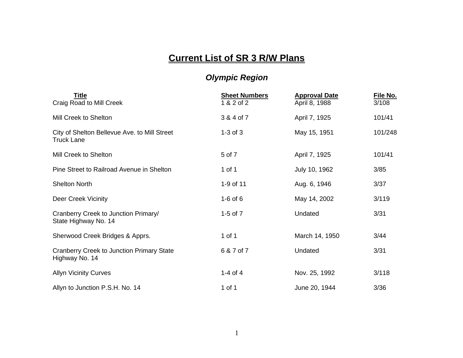## **Current List of SR 3 R/W Plans**

## *Olympic Region*

| <b>Title</b><br>Craig Road to Mill Creek                           | <b>Sheet Numbers</b><br>1 & 2 of 2 | <b>Approval Date</b><br>April 8, 1988 | File No.<br>3/108 |
|--------------------------------------------------------------------|------------------------------------|---------------------------------------|-------------------|
| Mill Creek to Shelton                                              | 3 & 4 of 7                         | April 7, 1925                         | 101/41            |
| City of Shelton Bellevue Ave. to Mill Street<br><b>Truck Lane</b>  | $1-3$ of $3$                       | May 15, 1951                          | 101/248           |
| Mill Creek to Shelton                                              | 5 of 7                             | April 7, 1925                         | 101/41            |
| Pine Street to Railroad Avenue in Shelton                          | 1 of 1                             | July 10, 1962                         | 3/85              |
| <b>Shelton North</b>                                               | 1-9 of 11                          | Aug. 6, 1946                          | 3/37              |
| Deer Creek Vicinity                                                | $1-6$ of $6$                       | May 14, 2002                          | 3/119             |
| Cranberry Creek to Junction Primary/<br>State Highway No. 14       | $1-5$ of $7$                       | Undated                               | 3/31              |
| Sherwood Creek Bridges & Apprs.                                    | 1 of 1                             | March 14, 1950                        | 3/44              |
| <b>Cranberry Creek to Junction Primary State</b><br>Highway No. 14 | 6 & 7 of 7                         | Undated                               | 3/31              |
| <b>Allyn Vicinity Curves</b>                                       | $1-4$ of $4$                       | Nov. 25, 1992                         | 3/118             |
| Allyn to Junction P.S.H. No. 14                                    | 1 of 1                             | June 20, 1944                         | 3/36              |